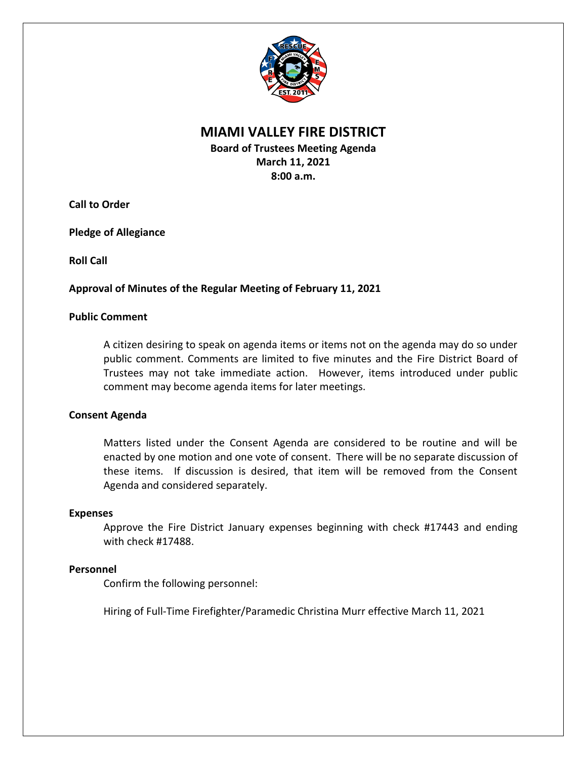

# **MIAMI VALLEY FIRE DISTRICT**

**Board of Trustees Meeting Agenda March 11, 2021 8:00 a.m.**

**Call to Order**

**Pledge of Allegiance**

**Roll Call**

## **Approval of Minutes of the Regular Meeting of February 11, 2021**

## **Public Comment**

A citizen desiring to speak on agenda items or items not on the agenda may do so under public comment. Comments are limited to five minutes and the Fire District Board of Trustees may not take immediate action. However, items introduced under public comment may become agenda items for later meetings.

## **Consent Agenda**

Matters listed under the Consent Agenda are considered to be routine and will be enacted by one motion and one vote of consent. There will be no separate discussion of these items. If discussion is desired, that item will be removed from the Consent Agenda and considered separately.

#### **Expenses**

Approve the Fire District January expenses beginning with check #17443 and ending with check #17488.

## **Personnel**

Confirm the following personnel:

Hiring of Full-Time Firefighter/Paramedic Christina Murr effective March 11, 2021